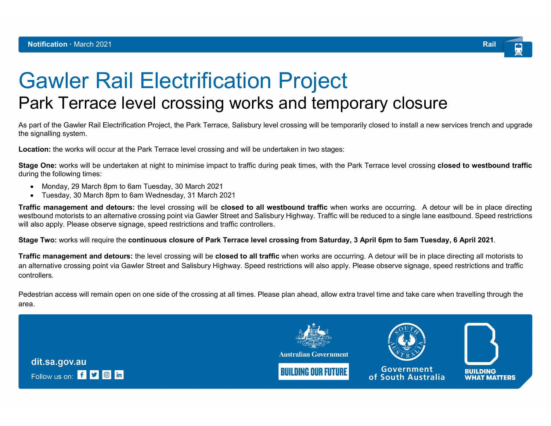

## Gawler Rail Electrification Project

## Park Terrace level crossing works and temporary closure

As part of the Gawler Rail Electrification Project, the Park Terrace, Salisbury level crossing will be temporarily closed to install a new services trench and upgrade the signalling system.

Location: the works will occur at the Park Terrace level crossing and will be undertaken in two stages:

Stage One: works will be undertaken at night to minimise impact to traffic during peak times, with the Park Terrace level crossing closed to westbound traffic during the following times:

- Monday, 29 March 8pm to 6am Tuesday, 30 March 2021
- Tuesday, 30 March 8pm to 6am Wednesday, 31 March 2021

**Traffic management and detours:** the level crossing will be **closed to all westbound traffic** when works are occurring. A detour will be in place directing westbound motorists to an alternative crossing point via Gawler Street and Salisbury Highway. Traffic will be reduced to a single lane eastbound. Speed restrictions will also apply. Please observe signage, speed restrictions and traffic controllers.

Stage Two: works will require the continuous closure of Park Terrace level crossing from Saturday, 3 April 6pm to 5am Tuesday, 6 April 2021.

**Traffic management and detours:** the level crossing will be **closed to all traffic** when works are occurring. A detour will be in place directing all motorists to an alternative crossing point via Gawler Street and Salisbury Highway. Speed restrictions will also apply. Please observe signage, speed restrictions and traffic controllers.

Pedestrian access will remain open on one side of the crossing at all times. Please plan ahead, allow extra travel time and take care when travelling through the area.